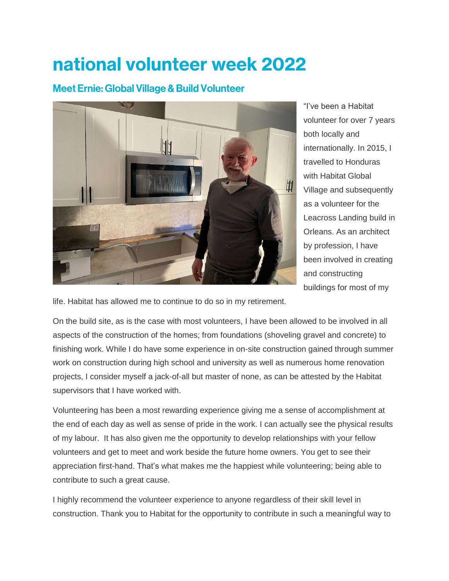## national volunteer week 2022

## Meet Ernie: Global Village & Build Volunteer



"I've been a Habitat volunteer for over 7 years both locally and internationally. In 2015, I travelled to Honduras with Habitat Global Village and subsequently as a volunteer for the Leacross Landing build in Orleans. As an architect by profession, I have been involved in creating and constructing buildings for most of my

life. Habitat has allowed me to continue to do so in my retirement.

On the build site, as is the case with most volunteers, I have been allowed to be involved in all aspects of the construction of the homes; from foundations (shoveling gravel and concrete) to finishing work. While I do have some experience in on-site construction gained through summer work on construction during high school and university as well as numerous home renovation projects, I consider myself a jack-of-all but master of none, as can be attested by the Habitat supervisors that I have worked with.

Volunteering has been a most rewarding experience giving me a sense of accomplishment at the end of each day as well as sense of pride in the work. I can actually see the physical results of my labour. It has also given me the opportunity to develop relationships with your fellow volunteers and get to meet and work beside the future home owners. You get to see their appreciation first-hand. That's what makes me the happiest while volunteering; being able to contribute to such a great cause.

I highly recommend the volunteer experience to anyone regardless of their skill level in construction. Thank you to Habitat for the opportunity to contribute in such a meaningful way to